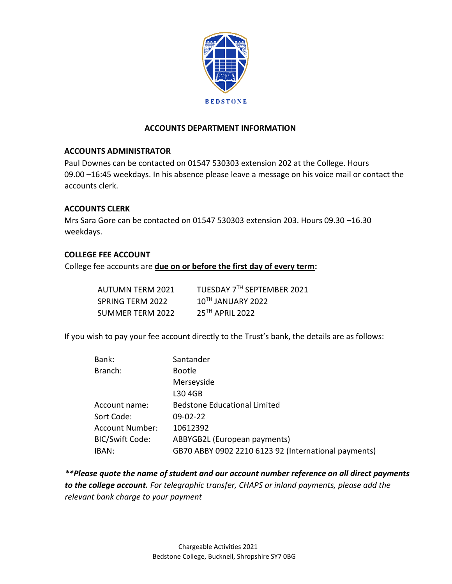

# **ACCOUNTS DEPARTMENT INFORMATION**

## **ACCOUNTS ADMINISTRATOR**

Paul Downes can be contacted on 01547 530303 extension 202 at the College. Hours 09.00 –16:45 weekdays. In his absence please leave a message on his voice mail or contact the accounts clerk.

## **ACCOUNTS CLERK**

Mrs Sara Gore can be contacted on 01547 530303 extension 203. Hours 09.30 –16.30 weekdays.

## **COLLEGE FEE ACCOUNT**

College fee accounts are **due on or before the first day of every term:** 

| <b>AUTUMN TERM 2021</b> | TUESDAY 7TH SEPTEMBER 2021 |
|-------------------------|----------------------------|
| SPRING TERM 2022        | $10TH$ JANUARY 2022        |
| SUMMER TERM 2022        | 25TH APRIL 2022            |

If you wish to pay your fee account directly to the Trust's bank, the details are as follows:

| Bank:                  | Santander                                            |
|------------------------|------------------------------------------------------|
| Branch:                | <b>Bootle</b>                                        |
|                        | Merseyside                                           |
|                        | L30 4GB                                              |
| Account name:          | <b>Bedstone Educational Limited</b>                  |
| Sort Code:             | $09-02-22$                                           |
| <b>Account Number:</b> | 10612392                                             |
| <b>BIC/Swift Code:</b> | ABBYGB2L (European payments)                         |
| IBAN:                  | GB70 ABBY 0902 2210 6123 92 (International payments) |

*\*\*Please quote the name of student and our account number reference on all direct payments to the college account. For telegraphic transfer, CHAPS or inland payments, please add the relevant bank charge to your payment*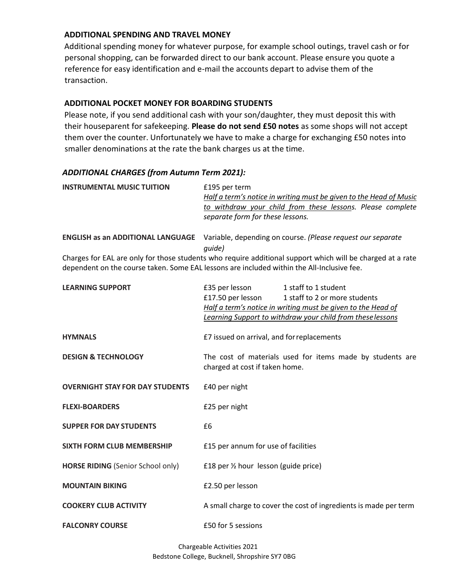## **ADDITIONAL SPENDING AND TRAVEL MONEY**

Additional spending money for whatever purpose, for example school outings, travel cash or for personal shopping, can be forwarded direct to our bank account. Please ensure you quote a reference for easy identification and e-mail the accounts depart to advise them of the transaction.

## **ADDITIONAL POCKET MONEY FOR BOARDING STUDENTS**

Please note, if you send additional cash with your son/daughter, they must deposit this with their houseparent for safekeeping. **Please do not send £50 notes** as some shops will not accept them over the counter. Unfortunately we have to make a charge for exchanging £50 notes into smaller denominations at the rate the bank charges us at the time.

## *ADDITIONAL CHARGES (from Autumn Term 2021):*

| <b>INSTRUMENTAL MUSIC TUITION</b>                                                          | £195 per term<br>Half a term's notice in writing must be given to the Head of Music |                                                                                                            |  |
|--------------------------------------------------------------------------------------------|-------------------------------------------------------------------------------------|------------------------------------------------------------------------------------------------------------|--|
|                                                                                            |                                                                                     |                                                                                                            |  |
|                                                                                            |                                                                                     | to withdraw your child from these lessons. Please complete                                                 |  |
|                                                                                            | separate form for these lessons.                                                    |                                                                                                            |  |
| <b>ENGLISH as an ADDITIONAL LANGUAGE</b>                                                   |                                                                                     | Variable, depending on course. (Please request our separate                                                |  |
|                                                                                            | quide)                                                                              |                                                                                                            |  |
| dependent on the course taken. Some EAL lessons are included within the All-Inclusive fee. |                                                                                     | Charges for EAL are only for those students who require additional support which will be charged at a rate |  |
| <b>LEARNING SUPPORT</b>                                                                    | £35 per lesson                                                                      | 1 staff to 1 student                                                                                       |  |
|                                                                                            | £17.50 per lesson                                                                   | 1 staff to 2 or more students                                                                              |  |
|                                                                                            |                                                                                     | Half a term's notice in writing must be given to the Head of                                               |  |
|                                                                                            |                                                                                     |                                                                                                            |  |

| Learning Support to withdraw your child from these lessons |  |
|------------------------------------------------------------|--|
|                                                            |  |

**HYMNALS E7** issued on arrival, and for replacements

**DESIGN & TECHNOLOGY** The cost of materials used for items made by students are charged at cost if taken home.

**OVERNIGHT STAY FOR DAY STUDENTS** E40 per night

**FLEXI-BOARDERS** £25 per night

**SUPPER FOR DAY STUDENTS** £6

**SIXTH FORM CLUB MEMBERSHIP**  $f(15)$  per annum for use of facilities

**HORSE RIDING** (Senior School only) £18 per ½ hour lesson (guide price)

**MOUNTAIN BIKING** £2.50 per lesson

**COOKERY CLUB ACTIVITY** A small charge to cover the cost of ingredients is made per term

**FALCONRY COURSE E50** for 5 sessions